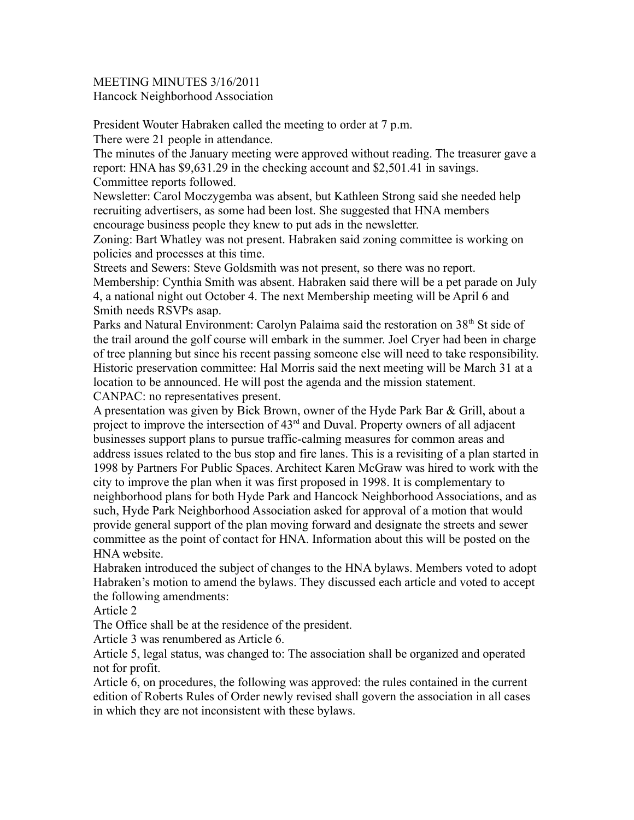MEETING MINUTES 3/16/2011 Hancock Neighborhood Association

President Wouter Habraken called the meeting to order at 7 p.m.

There were 21 people in attendance.

The minutes of the January meeting were approved without reading. The treasurer gave a report: HNA has \$9,631.29 in the checking account and \$2,501.41 in savings. Committee reports followed.

Newsletter: Carol Moczygemba was absent, but Kathleen Strong said she needed help recruiting advertisers, as some had been lost. She suggested that HNA members encourage business people they knew to put ads in the newsletter.

Zoning: Bart Whatley was not present. Habraken said zoning committee is working on policies and processes at this time.

Streets and Sewers: Steve Goldsmith was not present, so there was no report. Membership: Cynthia Smith was absent. Habraken said there will be a pet parade on July 4, a national night out October 4. The next Membership meeting will be April 6 and Smith needs RSVPs asap.

Parks and Natural Environment: Carolyn Palaima said the restoration on 38<sup>th</sup> St side of the trail around the golf course will embark in the summer. Joel Cryer had been in charge of tree planning but since his recent passing someone else will need to take responsibility. Historic preservation committee: Hal Morris said the next meeting will be March 31 at a location to be announced. He will post the agenda and the mission statement. CANPAC: no representatives present.

A presentation was given by Bick Brown, owner of the Hyde Park Bar & Grill, about a project to improve the intersection of 43<sup>rd</sup> and Duval. Property owners of all adjacent businesses support plans to pursue traffic-calming measures for common areas and address issues related to the bus stop and fire lanes. This is a revisiting of a plan started in 1998 by Partners For Public Spaces. Architect Karen McGraw was hired to work with the city to improve the plan when it was first proposed in 1998. It is complementary to neighborhood plans for both Hyde Park and Hancock Neighborhood Associations, and as such, Hyde Park Neighborhood Association asked for approval of a motion that would provide general support of the plan moving forward and designate the streets and sewer committee as the point of contact for HNA. Information about this will be posted on the HNA website.

Habraken introduced the subject of changes to the HNA bylaws. Members voted to adopt Habraken's motion to amend the bylaws. They discussed each article and voted to accept the following amendments:

Article 2

The Office shall be at the residence of the president.

Article 3 was renumbered as Article 6.

Article 5, legal status, was changed to: The association shall be organized and operated not for profit.

Article 6, on procedures, the following was approved: the rules contained in the current edition of Roberts Rules of Order newly revised shall govern the association in all cases in which they are not inconsistent with these bylaws.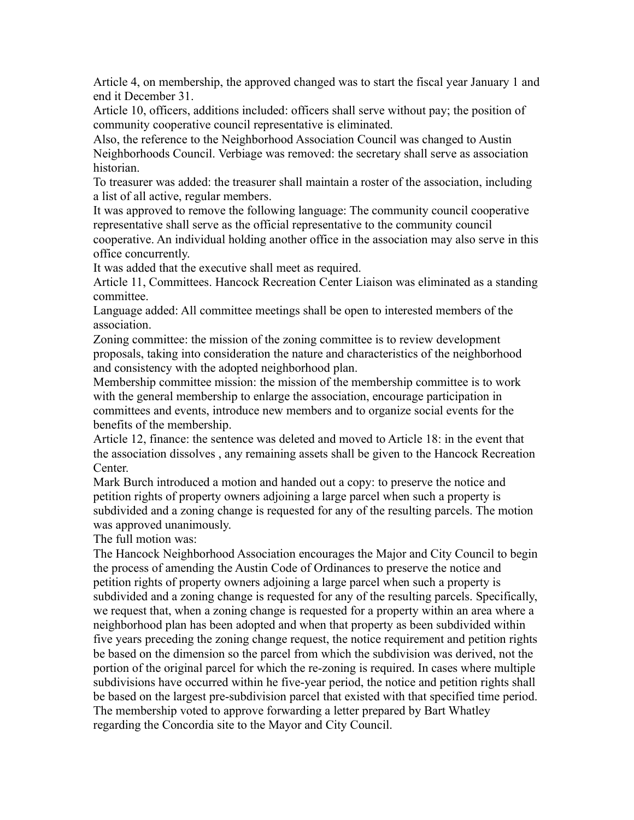Article 4, on membership, the approved changed was to start the fiscal year January 1 and end it December 31.

Article 10, officers, additions included: officers shall serve without pay; the position of community cooperative council representative is eliminated.

Also, the reference to the Neighborhood Association Council was changed to Austin Neighborhoods Council. Verbiage was removed: the secretary shall serve as association historian.

To treasurer was added: the treasurer shall maintain a roster of the association, including a list of all active, regular members.

It was approved to remove the following language: The community council cooperative representative shall serve as the official representative to the community council cooperative. An individual holding another office in the association may also serve in this office concurrently.

It was added that the executive shall meet as required.

Article 11, Committees. Hancock Recreation Center Liaison was eliminated as a standing committee.

Language added: All committee meetings shall be open to interested members of the association.

Zoning committee: the mission of the zoning committee is to review development proposals, taking into consideration the nature and characteristics of the neighborhood and consistency with the adopted neighborhood plan.

Membership committee mission: the mission of the membership committee is to work with the general membership to enlarge the association, encourage participation in committees and events, introduce new members and to organize social events for the benefits of the membership.

Article 12, finance: the sentence was deleted and moved to Article 18: in the event that the association dissolves , any remaining assets shall be given to the Hancock Recreation Center.

Mark Burch introduced a motion and handed out a copy: to preserve the notice and petition rights of property owners adjoining a large parcel when such a property is subdivided and a zoning change is requested for any of the resulting parcels. The motion was approved unanimously.

The full motion was:

The Hancock Neighborhood Association encourages the Major and City Council to begin the process of amending the Austin Code of Ordinances to preserve the notice and petition rights of property owners adjoining a large parcel when such a property is subdivided and a zoning change is requested for any of the resulting parcels. Specifically, we request that, when a zoning change is requested for a property within an area where a neighborhood plan has been adopted and when that property as been subdivided within five years preceding the zoning change request, the notice requirement and petition rights be based on the dimension so the parcel from which the subdivision was derived, not the portion of the original parcel for which the re-zoning is required. In cases where multiple subdivisions have occurred within he five-year period, the notice and petition rights shall be based on the largest pre-subdivision parcel that existed with that specified time period. The membership voted to approve forwarding a letter prepared by Bart Whatley regarding the Concordia site to the Mayor and City Council.